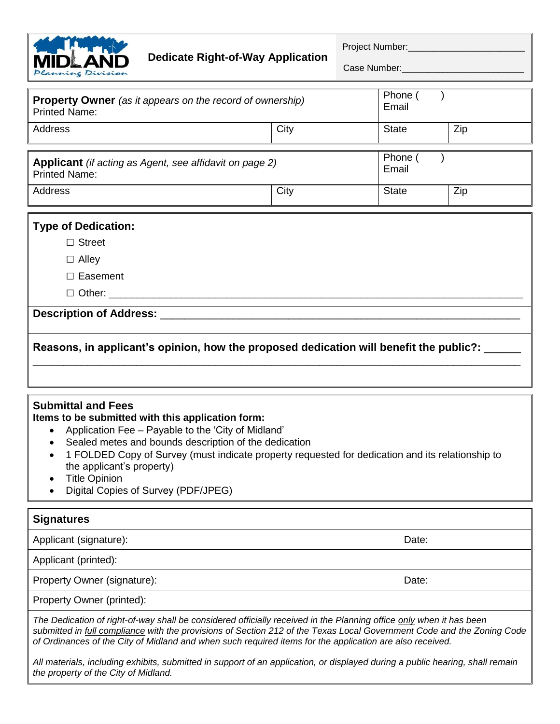

Project Number:\_\_\_\_\_\_\_\_\_\_\_\_\_\_\_\_\_\_\_\_\_\_\_

Case Number:

| <b>Property Owner</b> (as it appears on the record of ownership)<br><b>Printed Name:</b> |      | Phone (<br>Email |     |
|------------------------------------------------------------------------------------------|------|------------------|-----|
| Address                                                                                  | City | <b>State</b>     | Zip |
| Applicant (if acting as Agent, see affidavit on page 2)<br><b>Printed Name:</b>          |      | Phone<br>Email   |     |
| Address                                                                                  | City | <b>State</b>     | Zip |

# **Type of Dedication:**

**□** Street

**□** Alley

**□** Easement

**□** Other: \_\_\_\_\_\_\_\_\_\_\_\_\_\_\_\_\_\_\_\_\_\_\_\_\_\_\_\_\_\_\_\_\_\_\_\_\_\_\_\_\_\_\_\_\_\_\_\_\_\_\_\_\_\_\_\_\_\_\_\_\_\_\_\_\_\_\_\_\_\_\_\_\_\_

### **Description of Address:** \_\_\_\_\_\_\_\_\_\_\_\_\_\_\_\_\_\_\_\_\_\_\_\_\_\_\_\_\_\_\_\_\_\_\_\_\_\_\_\_\_\_\_\_\_\_\_\_\_\_\_\_\_\_\_\_\_\_\_

# **Reasons, in applicant's opinion, how the proposed dedication will benefit the public?:** \_\_\_\_\_\_

\_\_\_\_\_\_\_\_\_\_\_\_\_\_\_\_\_\_\_\_\_\_\_\_\_\_\_\_\_\_\_\_\_\_\_\_\_\_\_\_\_\_\_\_\_\_\_\_\_\_\_\_\_\_\_\_\_\_\_\_\_\_\_\_\_\_\_\_\_\_\_\_\_\_\_\_\_\_\_\_

### **Submittal and Fees**

#### **Items to be submitted with this application form:**

- Application Fee Payable to the 'City of Midland'
- Sealed metes and bounds description of the dedication
- 1 FOLDED Copy of Survey (must indicate property requested for dedication and its relationship to the applicant's property)
- Title Opinion
- Digital Copies of Survey (PDF/JPEG)

| <b>Signatures</b>                                                                                                                                                                                                                                                                                                                                         |       |  |
|-----------------------------------------------------------------------------------------------------------------------------------------------------------------------------------------------------------------------------------------------------------------------------------------------------------------------------------------------------------|-------|--|
| Applicant (signature):                                                                                                                                                                                                                                                                                                                                    | Date: |  |
| Applicant (printed):                                                                                                                                                                                                                                                                                                                                      |       |  |
| Property Owner (signature):                                                                                                                                                                                                                                                                                                                               | Date: |  |
| Property Owner (printed):                                                                                                                                                                                                                                                                                                                                 |       |  |
| The Dedication of right-of-way shall be considered officially received in the Planning office only when it has been<br>submitted in full compliance with the provisions of Section 212 of the Texas Local Government Code and the Zoning Code<br>of Ordinances of the City of Midland and when such required items for the application are also received. |       |  |

*All materials, including exhibits, submitted in support of an application, or displayed during a public hearing, shall remain the property of the City of Midland.*